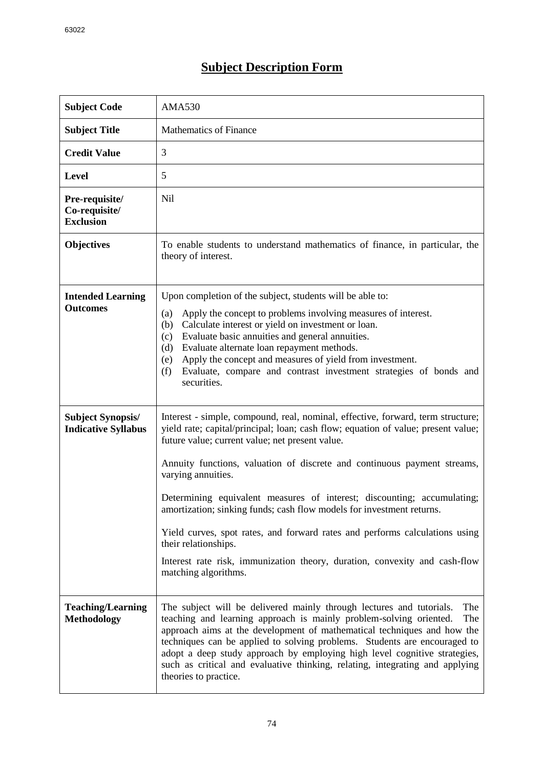## **Subject Description Form**

| <b>Subject Code</b>                                    | <b>AMA530</b>                                                                                                                                                                                                                                                                                                                                                                                                                                                                                                                                                                                                                                                                              |
|--------------------------------------------------------|--------------------------------------------------------------------------------------------------------------------------------------------------------------------------------------------------------------------------------------------------------------------------------------------------------------------------------------------------------------------------------------------------------------------------------------------------------------------------------------------------------------------------------------------------------------------------------------------------------------------------------------------------------------------------------------------|
| <b>Subject Title</b>                                   | <b>Mathematics of Finance</b>                                                                                                                                                                                                                                                                                                                                                                                                                                                                                                                                                                                                                                                              |
| <b>Credit Value</b>                                    | 3                                                                                                                                                                                                                                                                                                                                                                                                                                                                                                                                                                                                                                                                                          |
| <b>Level</b>                                           | 5                                                                                                                                                                                                                                                                                                                                                                                                                                                                                                                                                                                                                                                                                          |
| Pre-requisite/<br>Co-requisite/<br><b>Exclusion</b>    | N <sub>il</sub>                                                                                                                                                                                                                                                                                                                                                                                                                                                                                                                                                                                                                                                                            |
| <b>Objectives</b>                                      | To enable students to understand mathematics of finance, in particular, the<br>theory of interest.                                                                                                                                                                                                                                                                                                                                                                                                                                                                                                                                                                                         |
| <b>Intended Learning</b><br><b>Outcomes</b>            | Upon completion of the subject, students will be able to:<br>Apply the concept to problems involving measures of interest.<br>(a)<br>Calculate interest or yield on investment or loan.<br>(b)<br>Evaluate basic annuities and general annuities.<br>(c)<br>Evaluate alternate loan repayment methods.<br>(d)<br>Apply the concept and measures of yield from investment.<br>(e)<br>Evaluate, compare and contrast investment strategies of bonds and<br>(f)<br>securities.                                                                                                                                                                                                                |
| <b>Subject Synopsis/</b><br><b>Indicative Syllabus</b> | Interest - simple, compound, real, nominal, effective, forward, term structure;<br>yield rate; capital/principal; loan; cash flow; equation of value; present value;<br>future value; current value; net present value.<br>Annuity functions, valuation of discrete and continuous payment streams,<br>varying annuities.<br>Determining equivalent measures of interest; discounting; accumulating;<br>amortization; sinking funds; cash flow models for investment returns.<br>Yield curves, spot rates, and forward rates and performs calculations using<br>their relationships.<br>Interest rate risk, immunization theory, duration, convexity and cash-flow<br>matching algorithms. |
| <b>Teaching/Learning</b><br><b>Methodology</b>         | The subject will be delivered mainly through lectures and tutorials.<br>The<br>teaching and learning approach is mainly problem-solving oriented.<br>The<br>approach aims at the development of mathematical techniques and how the<br>techniques can be applied to solving problems. Students are encouraged to<br>adopt a deep study approach by employing high level cognitive strategies,<br>such as critical and evaluative thinking, relating, integrating and applying<br>theories to practice.                                                                                                                                                                                     |